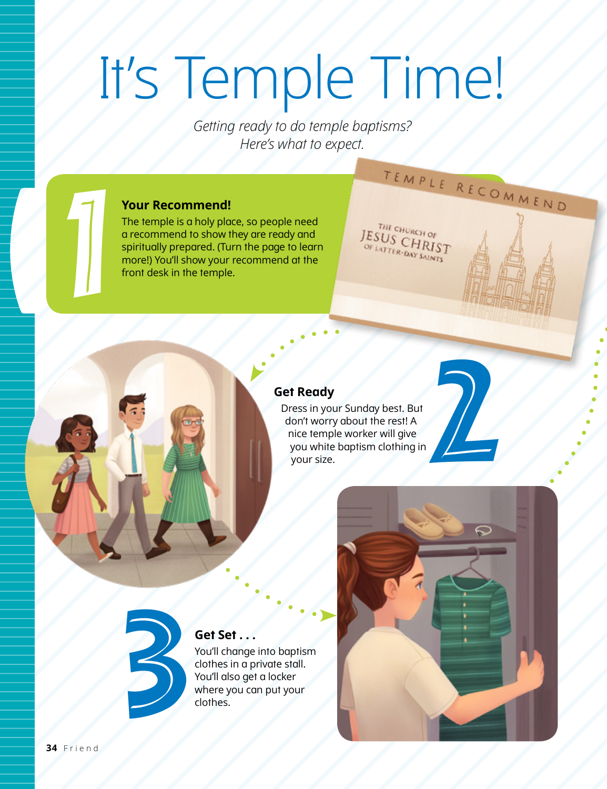# It's Temple Time!

*Getting ready to do temple baptisms? Here's what to expect.*

#### **Your Recommend!**

1

The temple is a holy place, so people need a recommend to show they are ready and spiritually prepared. (Turn the page to learn more!) You'll show your recommend at the front desk in the temple.

#### **Get Ready**

Dress in your Sunday best. But don't worry about the rest! A nice temple worker will give you white baptism clothing in your size.



#### **Get Set . . .**

You'll change into baptism clothes in a private stall. You'll also get a locker where you can put your clothes.



TEMPLE RECOMMEND

THE CHURCH OF  $JESUS_{OF LATTER-DAY-SAINTS}^{THE CHURG + OF}$